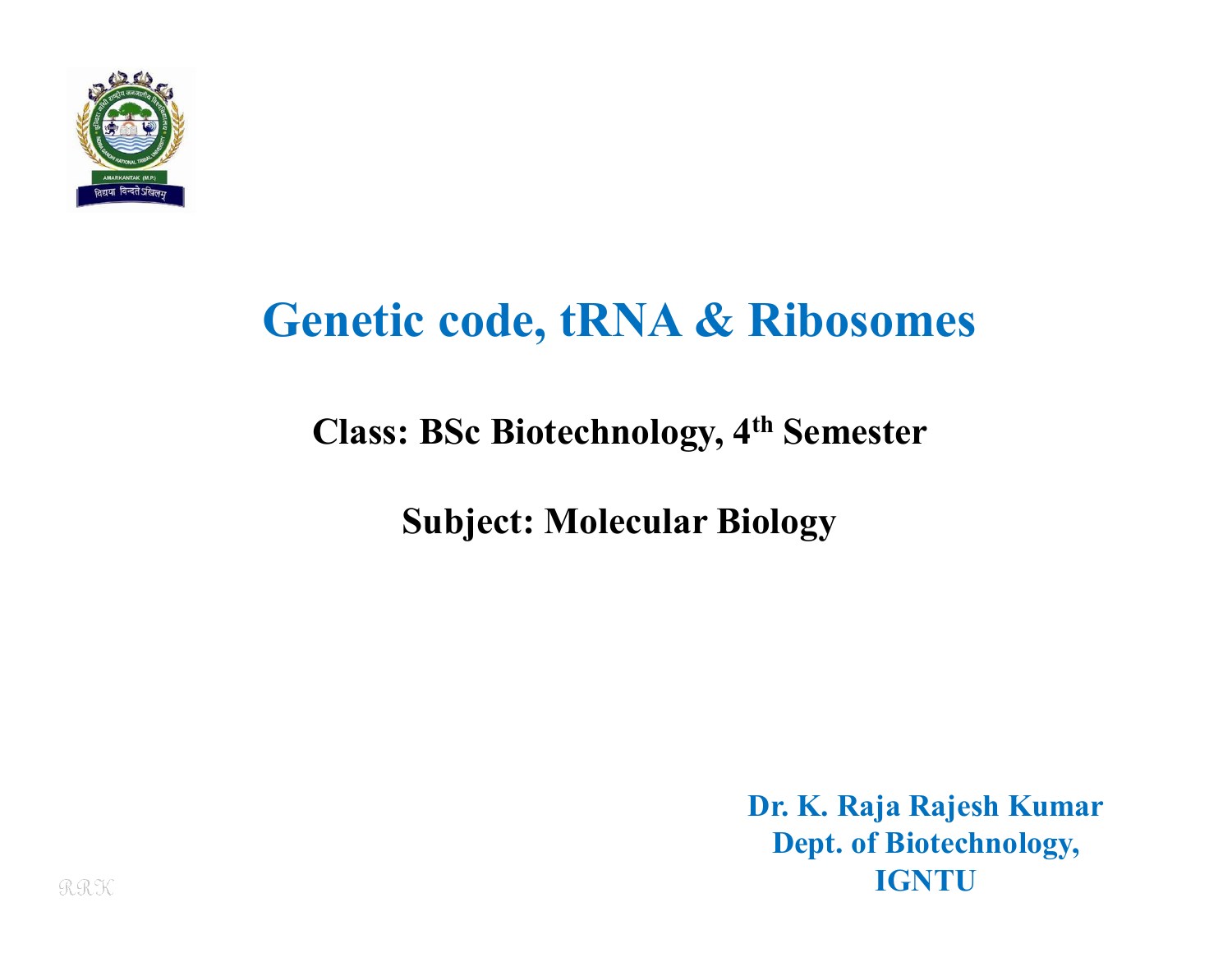

# **Genetic code, tRNA & Ribosomes**

### **Class: BSc Biotechnology, 4th Semester**

**Subject: Molecular Biology**

**Dr. K. Raja Rajesh Kumar Dept. of Biotechnology, IGNTU**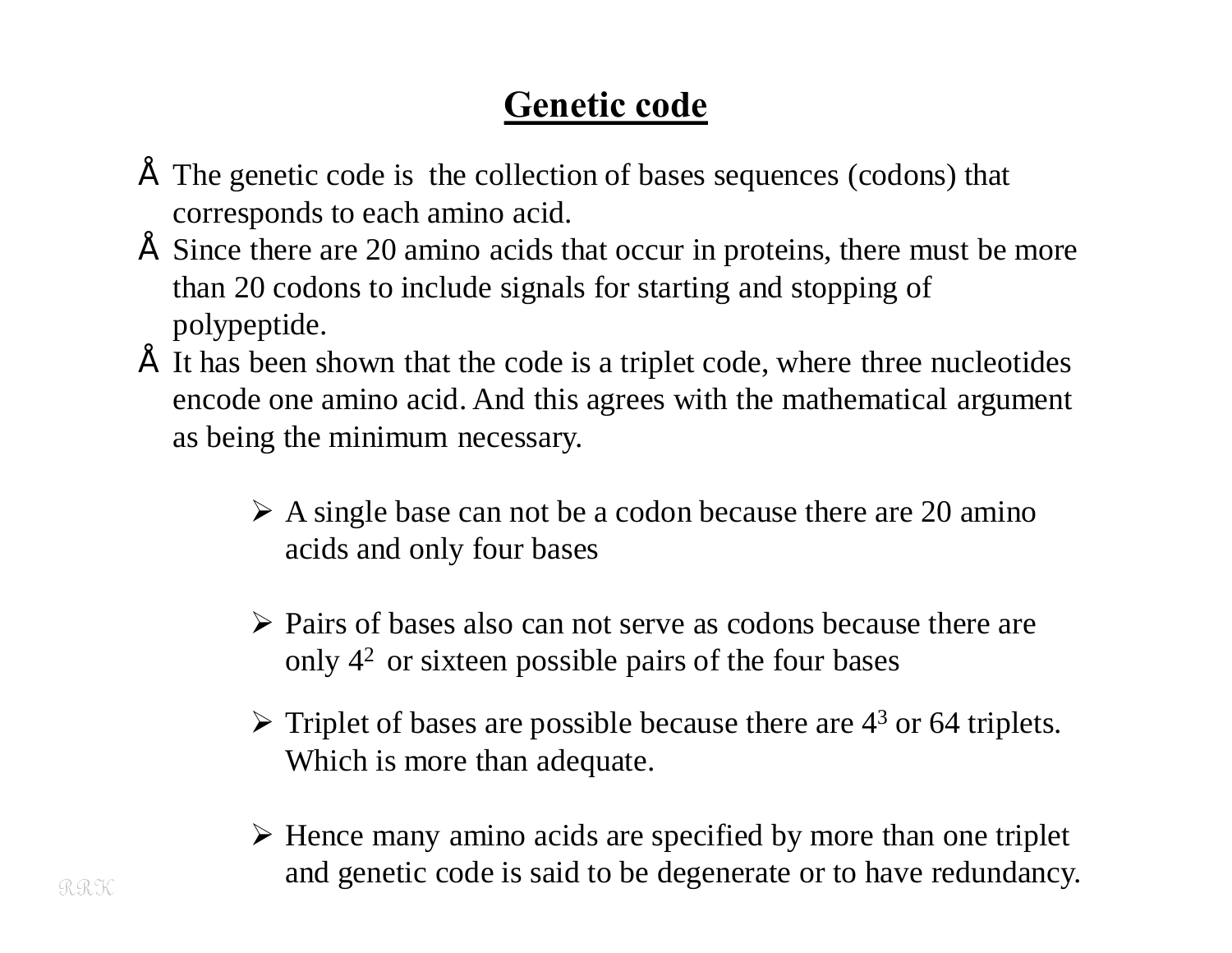## **Genetic code**

- The genetic code is the collection of bases sequences (codons) that corresponds to each amino acid.
- Since there are 20 amino acids that occur in proteins, there must be more than 20 codons to include signals for starting and stopping of polypeptide.
- It has been shown that the code is a triplet code, where three nucleotides encode one amino acid. And this agrees with the mathematical argument as being the minimum necessary.
	- $\triangleright$  A single base can not be a codon because there are 20 amino acids and only four bases
	- $\triangleright$  Pairs of bases also can not serve as codons because there are only  $4<sup>2</sup>$  or sixteen possible pairs of the four bases
	- $\triangleright$  Triplet of bases are possible because there are 4<sup>3</sup> or 64 triplets. Which is more than adequate.
	- $\triangleright$  Hence many amino acids are specified by more than one triplet and genetic code is said to be degenerate or to have redundancy.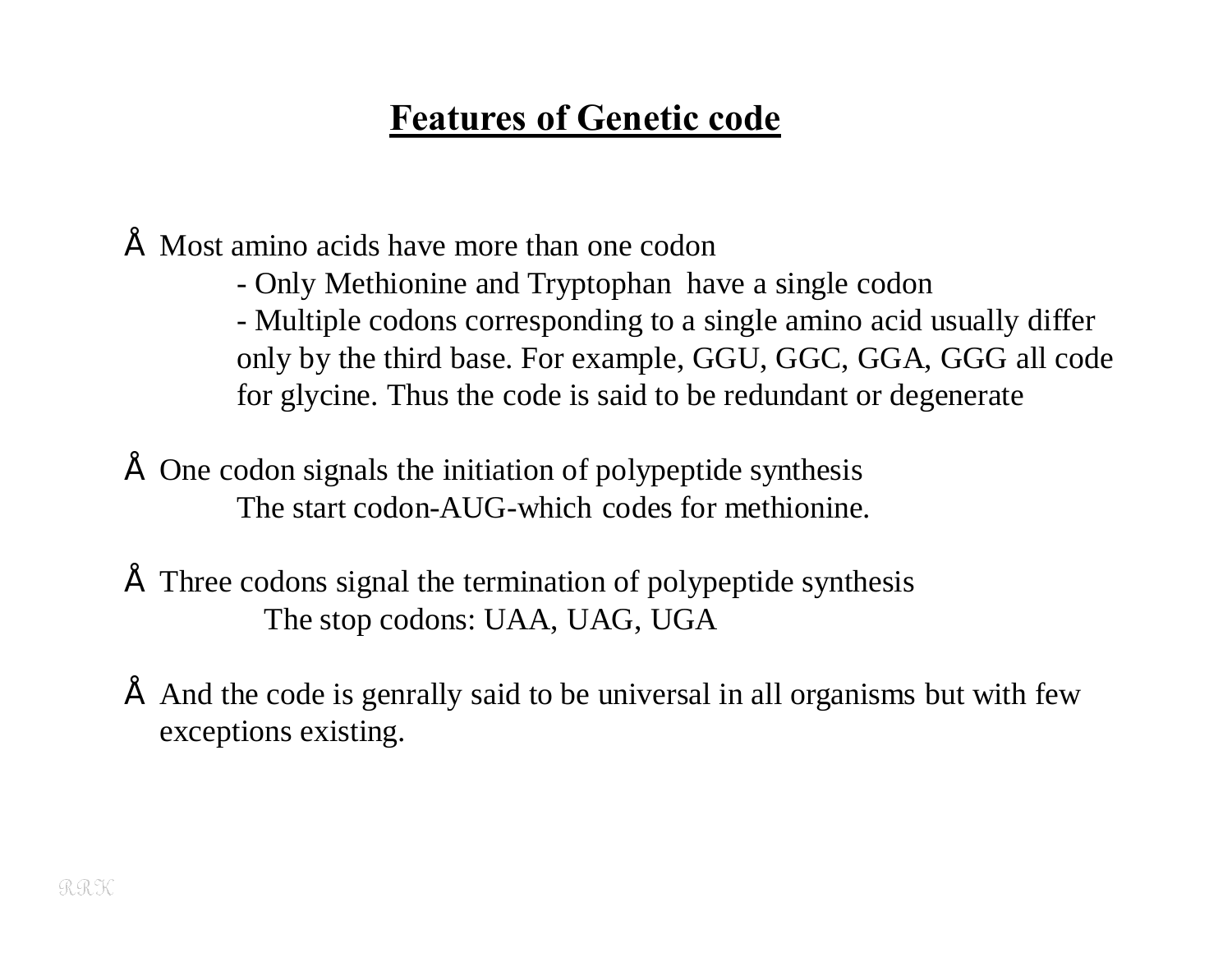### **Features of Genetic code**

• Most amino acids have more than one codon

- Only Methionine and Tryptophan have a single codon
- Multiple codons corresponding to a single amino acid usually differ only by the third base. For example, GGU, GGC, GGA, GGG all code for glycine. Thus the code is said to be redundant or degenerate
- One codon signals the initiation of polypeptide synthesis The start codon-AUG-which codes for methionine.
- Three codons signal the termination of polypeptide synthesis The stop codons: UAA, UAG, UGA
- And the code is genrally said to be universal in all organisms but with few exceptions existing.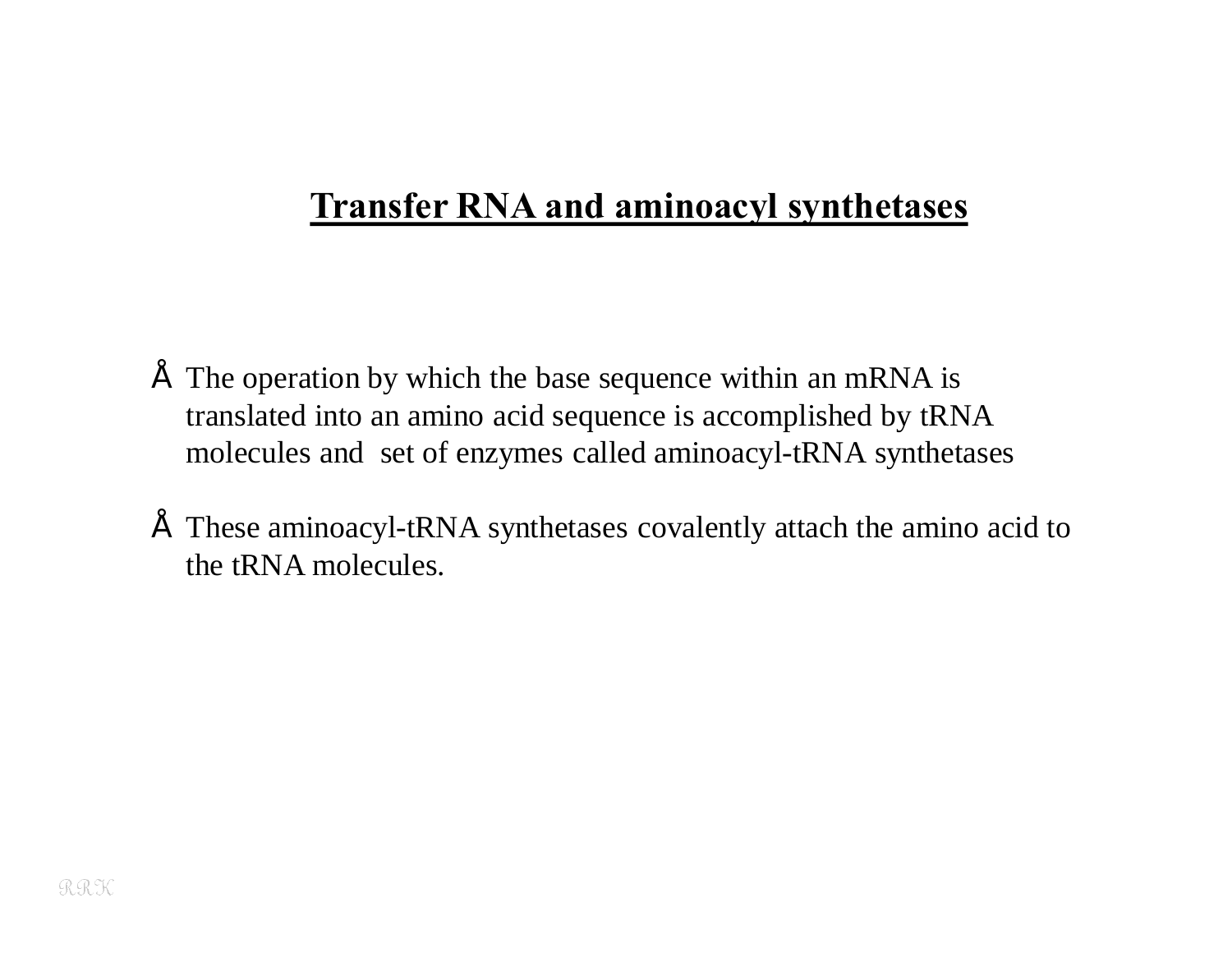#### **Transfer RNA and aminoacyl synthetases**

- $\tilde{ }$  The operation by which the base sequence within an mRNA is translated into an amino acid sequence is accomplished by tRNA molecules and set of enzymes called aminoacyl-tRNA synthetases
- These aminoacyl-tRNA synthetases covalently attach the amino acid to the tRNA molecules.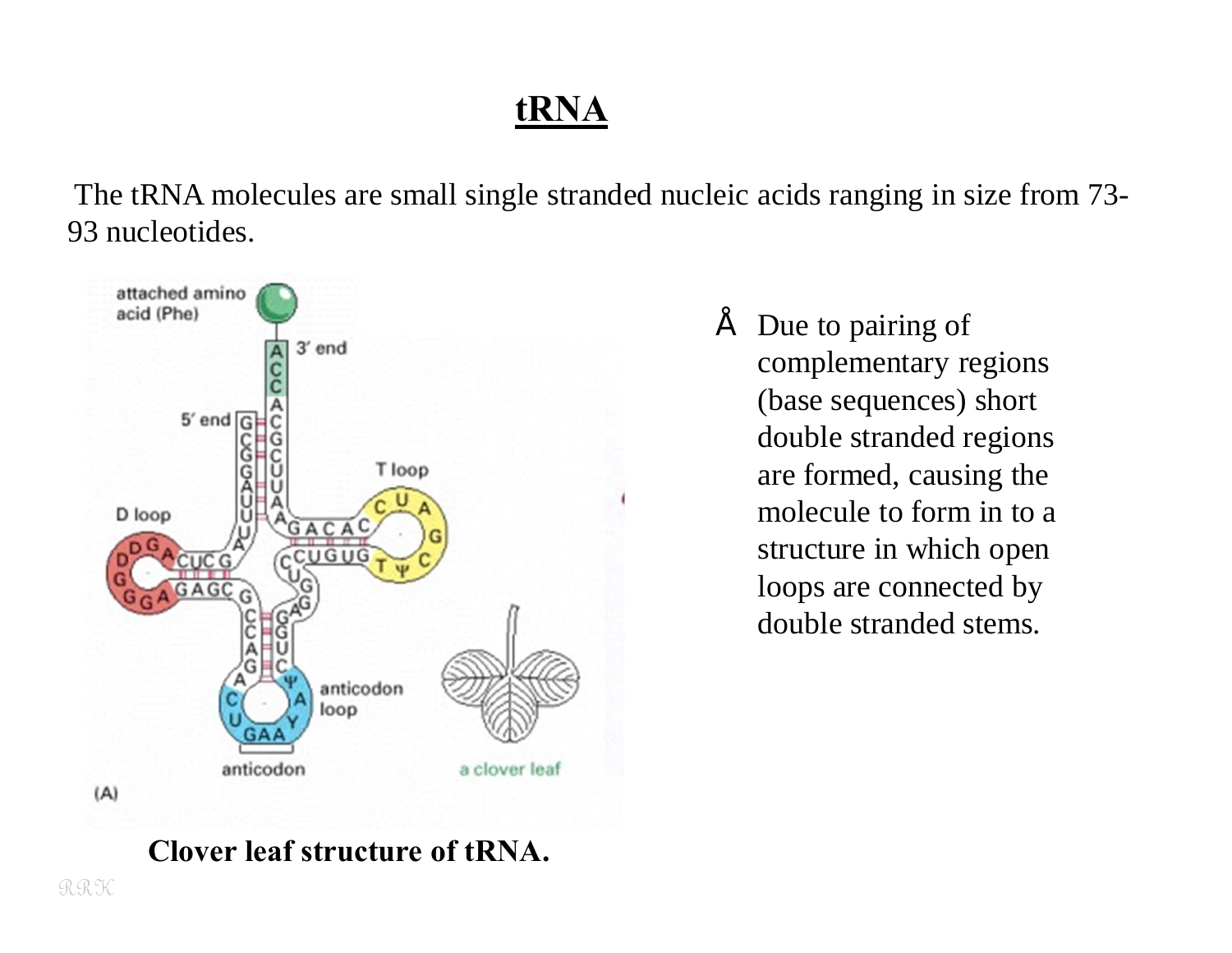# **tRNA**

The tRNA molecules are small single stranded nucleic acids ranging in size from 73- 93 nucleotides.



• Due to pairing of complementary regions (base sequences) short double stranded regions are formed, causing the molecule to form in to a structure in which open loops are connected by double stranded stems.

#### **Clover leaf structure of tRNA.**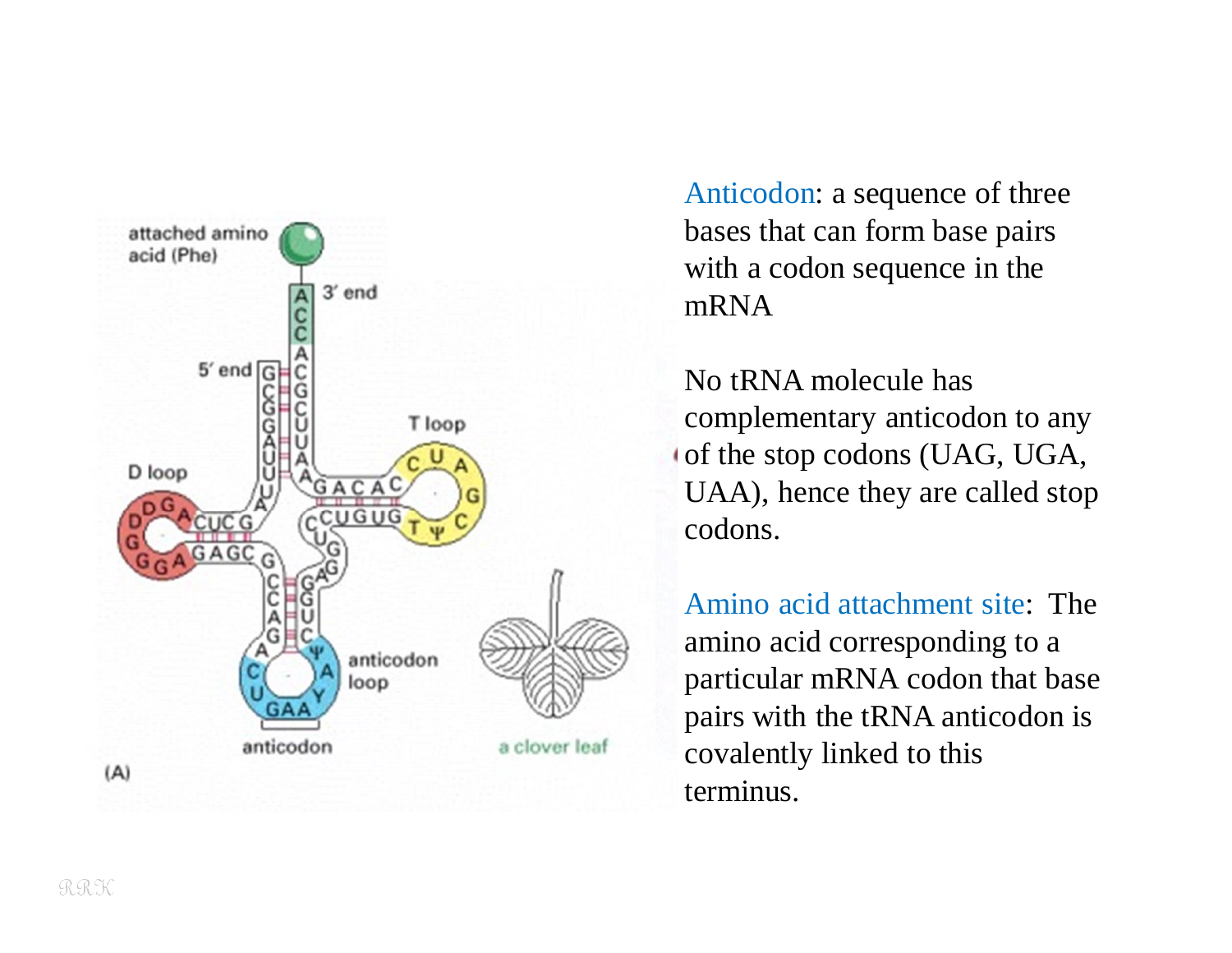

Anticodon: a sequence of three bases that can form base pairs with a codon sequence in the mRNA

No tRNA molecule has complementary anticodon to any of the stop codons (UAG, UGA, UAA), hence they are called stop codons.

Amino acid attachment site: The amino acid corresponding to a particular mRNA codon that base pairs with the tRNA anticodon is covalently linked to this terminus.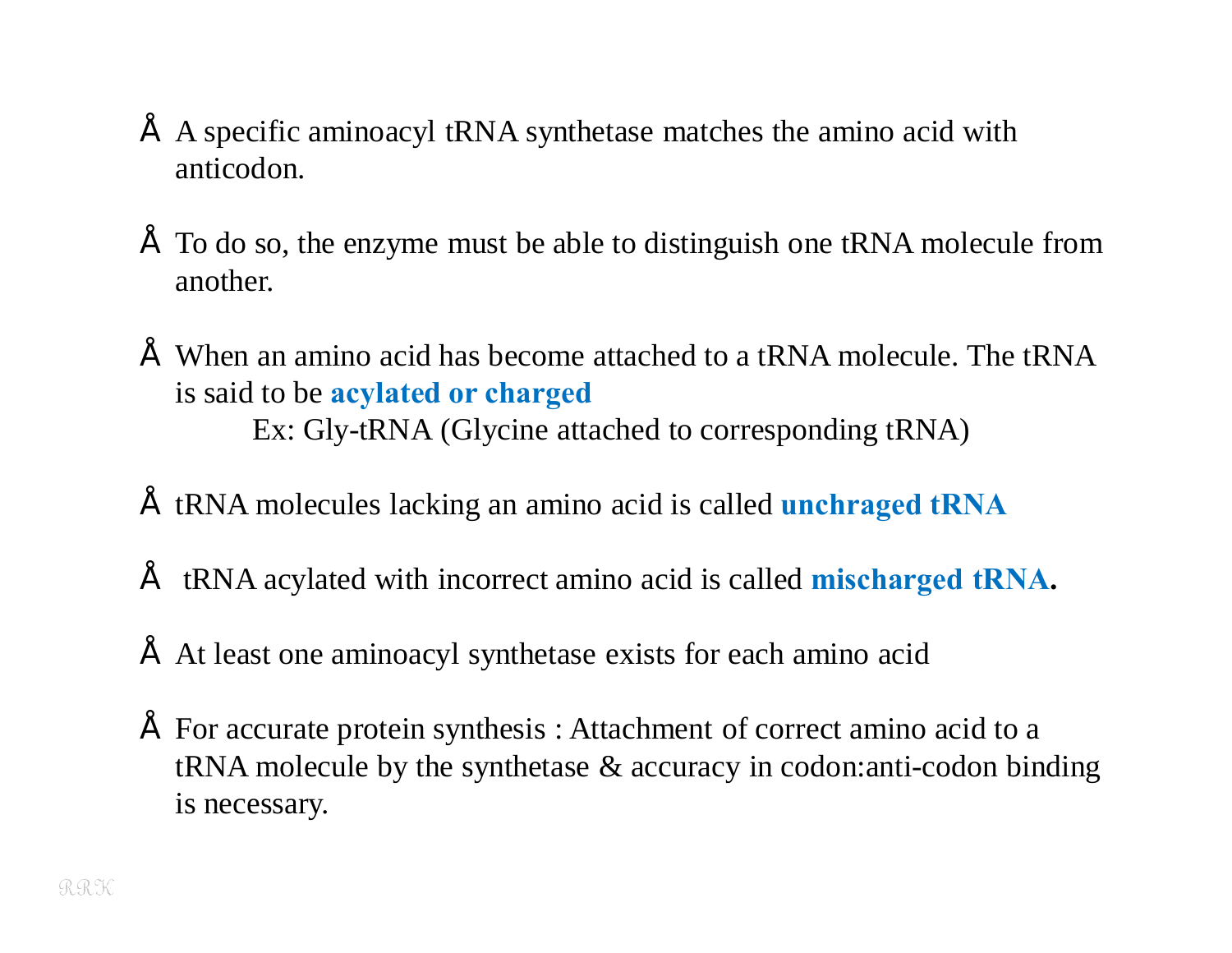- A specific aminoacyl tRNA synthetase matches the amino acid with anticodon.
- To do so, the enzyme must be able to distinguish one tRNA molecule from another.
- When an amino acid has become attached to a tRNA molecule. The tRNA is said to be **acylated or charged** Ex: Gly-tRNA (Glycine attached to corresponding tRNA)
- tRNA molecules lacking an amino acid is called **unchraged tRNA**
- tRNA acylated with incorrect amino acid is called **mischarged tRNA.**
- At least one aminoacyl synthetase exists for each amino acid
- For accurate protein synthesis : Attachment of correct amino acid to a tRNA molecule by the synthetase & accuracy in codon:anti-codon binding is necessary.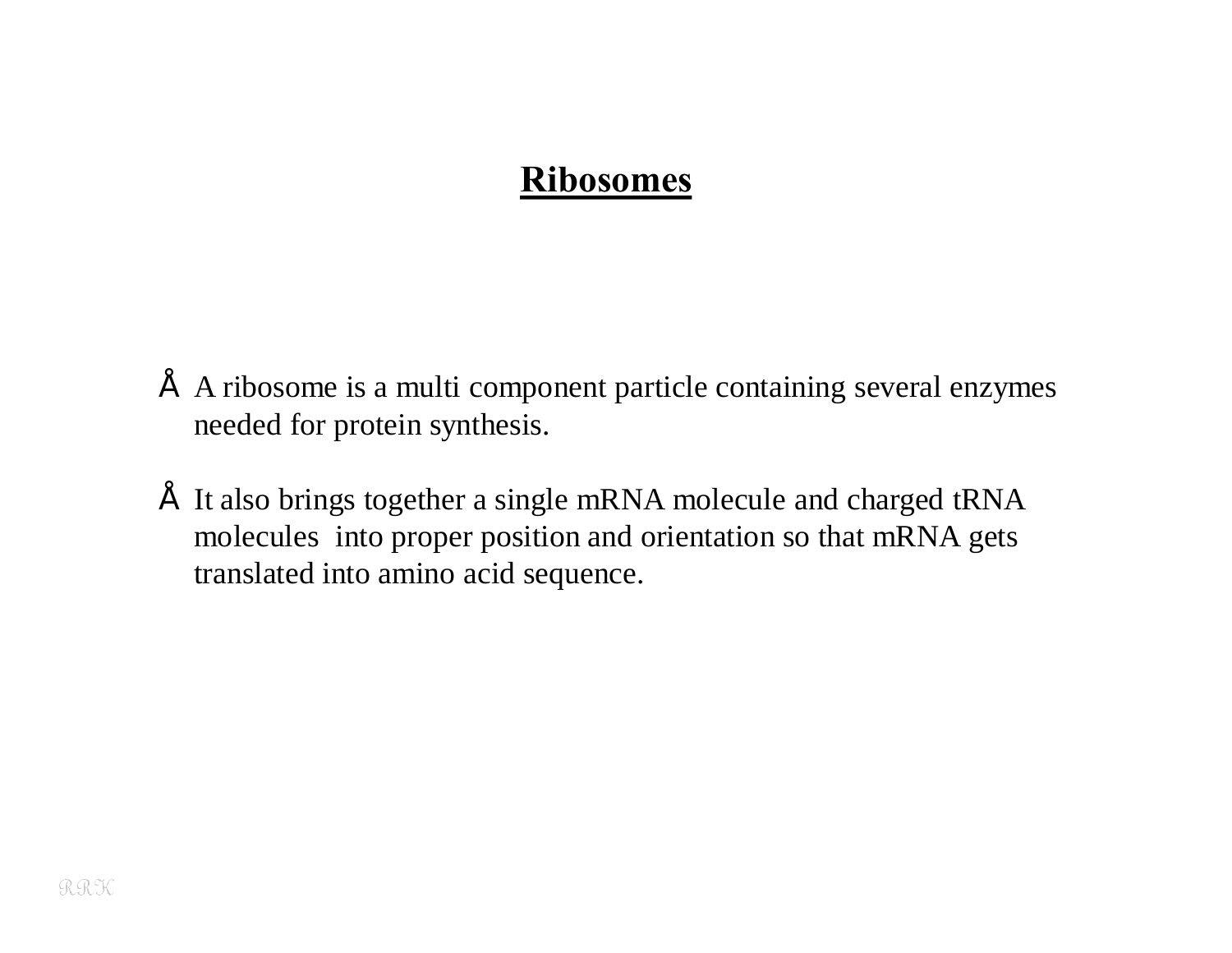#### **Ribosomes**

- A ribosome is a multi component particle containing several enzymes needed for protein synthesis.
- It also brings together a single mRNA molecule and charged tRNA molecules into proper position and orientation so that mRNA gets translated into amino acid sequence.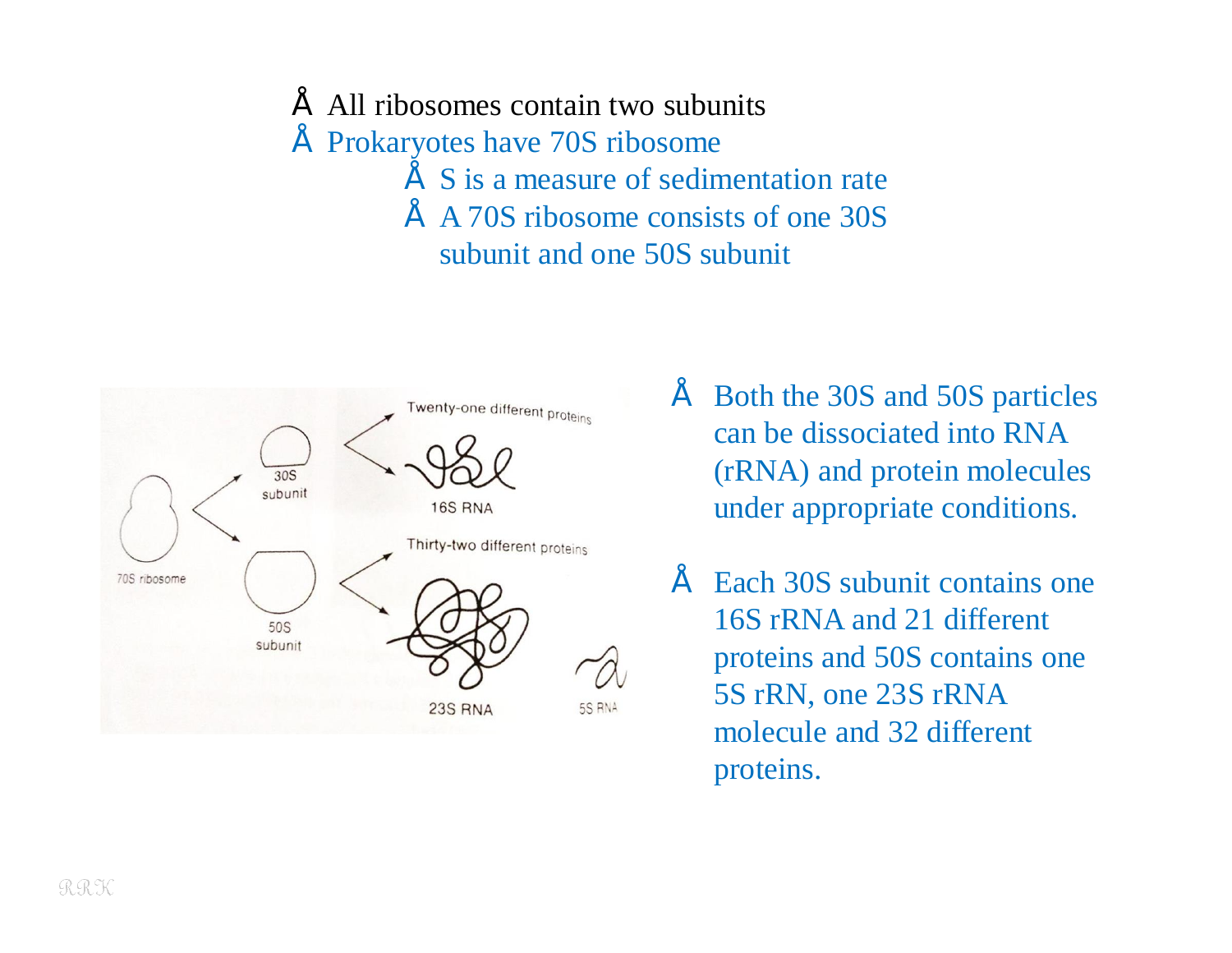- All ribosomes contain two subunits
- Prokaryotes have 70S ribosome
	- S is a measure of sedimentation rate
	- A 70S ribosome consists of one 30S subunit and one 50S subunit



- Both the 30S and 50S particles can be dissociated into RNA (rRNA) and protein molecules under appropriate conditions.
- Each 30S subunit contains one 16S rRNA and 21 different proteins and 50S contains one 5S rRN, one 23S rRNA molecule and 32 different proteins.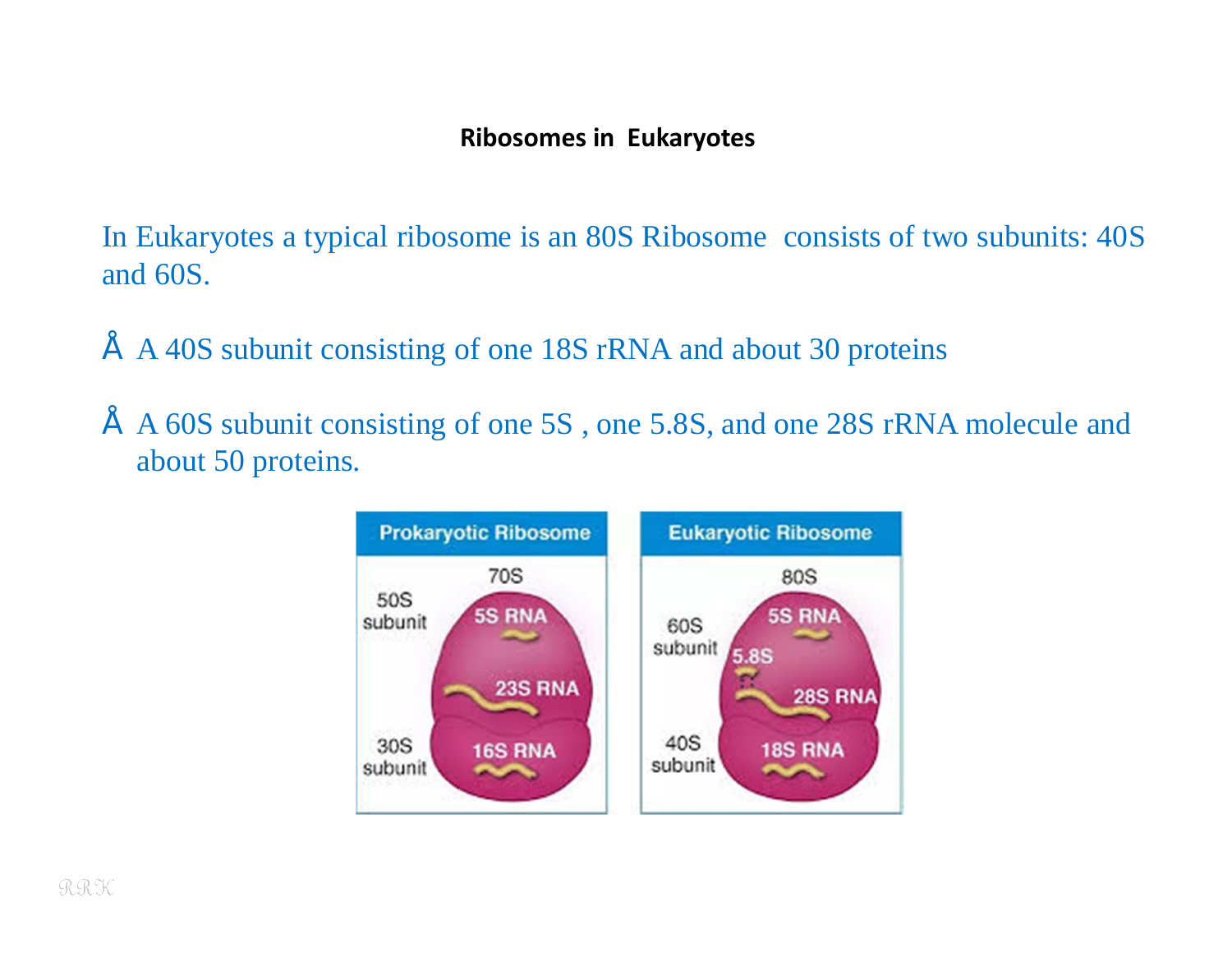#### **Ribosomes in Eukaryotes**

In Eukaryotes a typical ribosome is an 80S Ribosome consists of two subunits: 40S and 60S.

- A 40S subunit consisting of one 18S rRNA and about 30 proteins
- A 60S subunit consisting of one 5S , one 5.8S, and one 28S rRNA molecule and about 50 proteins.